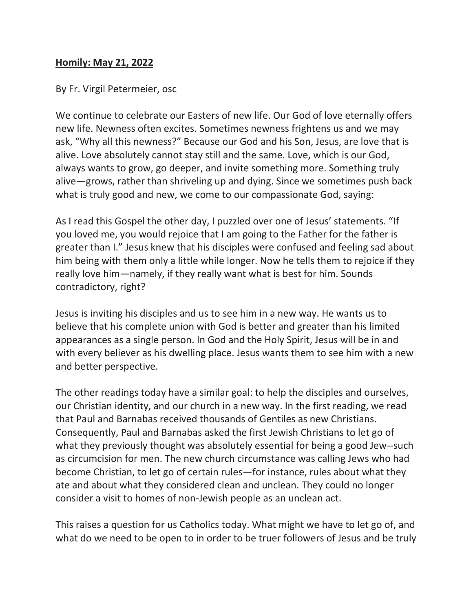## **Homily: May 21, 2022**

By Fr. Virgil Petermeier, osc

We continue to celebrate our Easters of new life. Our God of love eternally offers new life. Newness often excites. Sometimes newness frightens us and we may ask, "Why all this newness?" Because our God and his Son, Jesus, are love that is alive. Love absolutely cannot stay still and the same. Love, which is our God, always wants to grow, go deeper, and invite something more. Something truly alive—grows, rather than shriveling up and dying. Since we sometimes push back what is truly good and new, we come to our compassionate God, saying:

As I read this Gospel the other day, I puzzled over one of Jesus' statements. "If you loved me, you would rejoice that I am going to the Father for the father is greater than I." Jesus knew that his disciples were confused and feeling sad about him being with them only a little while longer. Now he tells them to rejoice if they really love him—namely, if they really want what is best for him. Sounds contradictory, right?

Jesus is inviting his disciples and us to see him in a new way. He wants us to believe that his complete union with God is better and greater than his limited appearances as a single person. In God and the Holy Spirit, Jesus will be in and with every believer as his dwelling place. Jesus wants them to see him with a new and better perspective.

The other readings today have a similar goal: to help the disciples and ourselves, our Christian identity, and our church in a new way. In the first reading, we read that Paul and Barnabas received thousands of Gentiles as new Christians. Consequently, Paul and Barnabas asked the first Jewish Christians to let go of what they previously thought was absolutely essential for being a good Jew--such as circumcision for men. The new church circumstance was calling Jews who had become Christian, to let go of certain rules—for instance, rules about what they ate and about what they considered clean and unclean. They could no longer consider a visit to homes of non-Jewish people as an unclean act.

This raises a question for us Catholics today. What might we have to let go of, and what do we need to be open to in order to be truer followers of Jesus and be truly